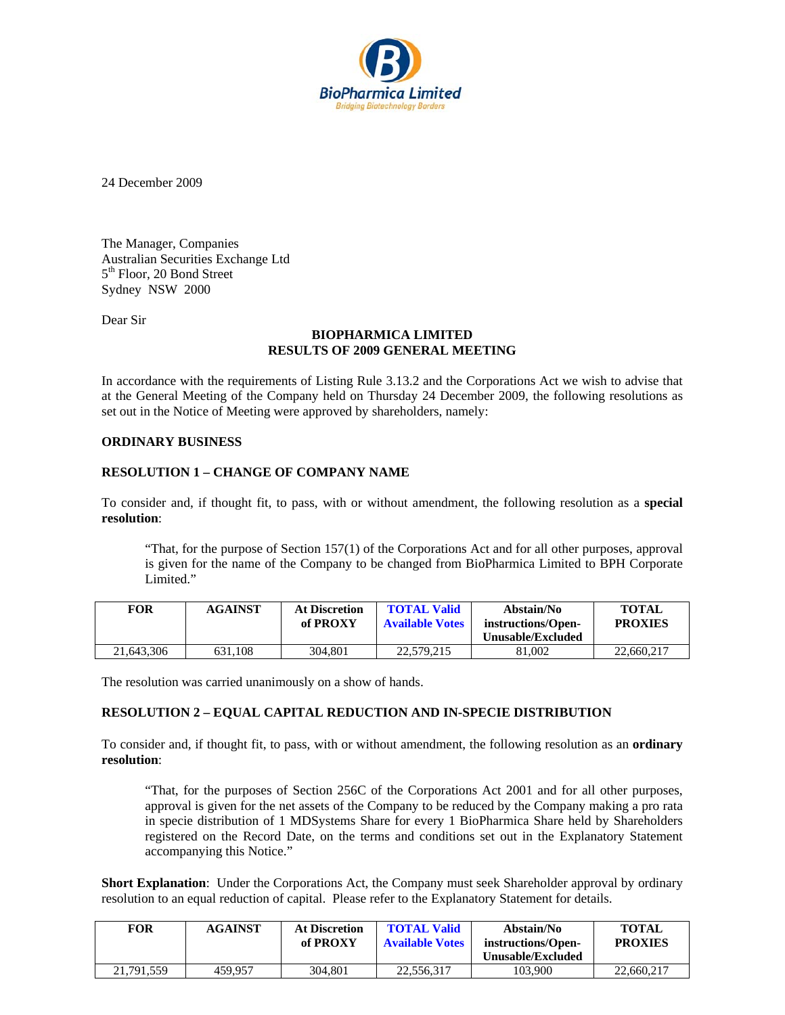

24 December 2009

The Manager, Companies Australian Securities Exchange Ltd 5<sup>th</sup> Floor, 20 Bond Street Sydney NSW 2000

Dear Sir

# **BIOPHARMICA LIMITED RESULTS OF 2009 GENERAL MEETING**

In accordance with the requirements of Listing Rule 3.13.2 and the Corporations Act we wish to advise that at the General Meeting of the Company held on Thursday 24 December 2009, the following resolutions as set out in the Notice of Meeting were approved by shareholders, namely:

### **ORDINARY BUSINESS**

# **RESOLUTION 1 – CHANGE OF COMPANY NAME**

To consider and, if thought fit, to pass, with or without amendment, the following resolution as a **special resolution**:

"That, for the purpose of Section 157(1) of the Corporations Act and for all other purposes, approval is given for the name of the Company to be changed from BioPharmica Limited to BPH Corporate Limited."

| FOR        | <b>AGAINST</b> | <b>At Discretion</b><br>of PROXY | <b>TOTAL Valid</b><br><b>Available Votes</b> | Abstain/No<br>instructions/Open-<br>Unusable/Excluded | <b>TOTAL</b><br><b>PROXIES</b> |
|------------|----------------|----------------------------------|----------------------------------------------|-------------------------------------------------------|--------------------------------|
| 21,643,306 | 631.108        | 304.801                          | 22,579,215                                   | 81,002                                                | 22,660,217                     |

The resolution was carried unanimously on a show of hands.

### **RESOLUTION 2 – EQUAL CAPITAL REDUCTION AND IN-SPECIE DISTRIBUTION**

To consider and, if thought fit, to pass, with or without amendment, the following resolution as an **ordinary resolution**:

"That, for the purposes of Section 256C of the Corporations Act 2001 and for all other purposes, approval is given for the net assets of the Company to be reduced by the Company making a pro rata in specie distribution of 1 MDSystems Share for every 1 BioPharmica Share held by Shareholders registered on the Record Date, on the terms and conditions set out in the Explanatory Statement accompanying this Notice."

**Short Explanation**: Under the Corporations Act, the Company must seek Shareholder approval by ordinary resolution to an equal reduction of capital. Please refer to the Explanatory Statement for details.

| <b>FOR</b> | <b>AGAINST</b> | <b>At Discretion</b><br>of PROXY | <b>TOTAL Valid</b><br><b>Available Votes</b> | Abstain/No<br>instructions/Open-<br>Unusable/Excluded | TOTAL<br><b>PROXIES</b> |
|------------|----------------|----------------------------------|----------------------------------------------|-------------------------------------------------------|-------------------------|
| 21.791.559 | 459.957        | 304.801                          | 22,556,317                                   | 103.900                                               | 22,660,217              |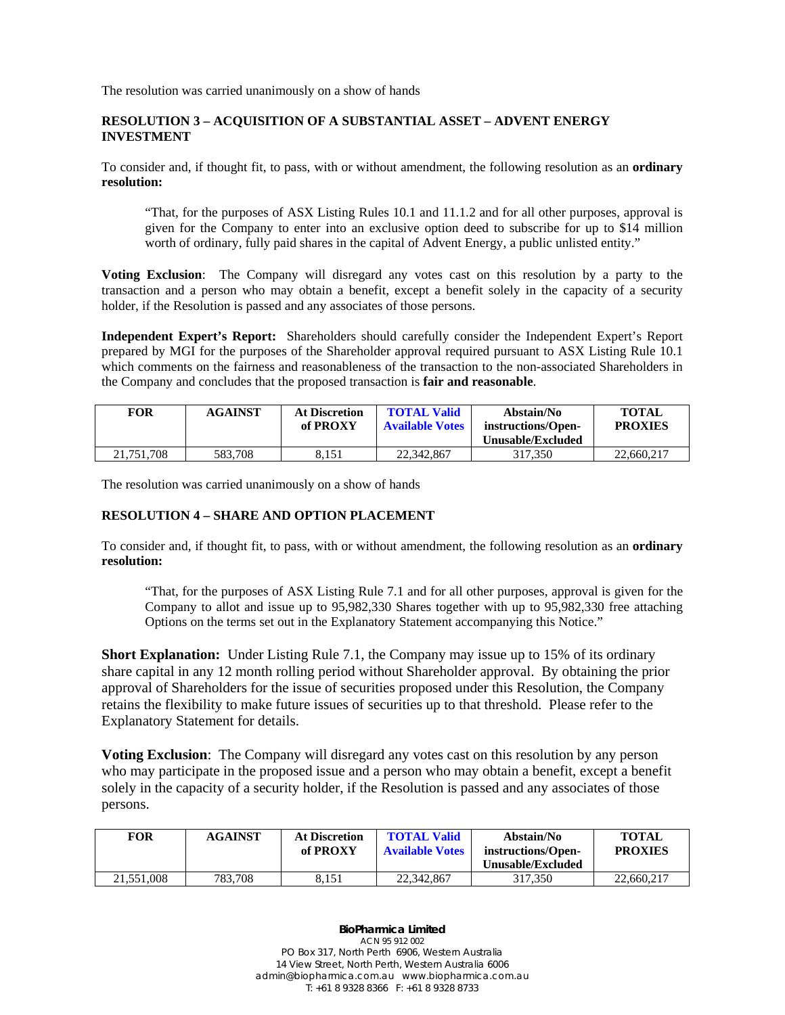The resolution was carried unanimously on a show of hands

# **RESOLUTION 3 – ACQUISITION OF A SUBSTANTIAL ASSET – ADVENT ENERGY INVESTMENT**

To consider and, if thought fit, to pass, with or without amendment, the following resolution as an **ordinary resolution:** 

"That, for the purposes of ASX Listing Rules 10.1 and 11.1.2 and for all other purposes, approval is given for the Company to enter into an exclusive option deed to subscribe for up to \$14 million worth of ordinary, fully paid shares in the capital of Advent Energy, a public unlisted entity."

**Voting Exclusion**: The Company will disregard any votes cast on this resolution by a party to the transaction and a person who may obtain a benefit, except a benefit solely in the capacity of a security holder, if the Resolution is passed and any associates of those persons.

**Independent Expert's Report:** Shareholders should carefully consider the Independent Expert's Report prepared by MGI for the purposes of the Shareholder approval required pursuant to ASX Listing Rule 10.1 which comments on the fairness and reasonableness of the transaction to the non-associated Shareholders in the Company and concludes that the proposed transaction is **fair and reasonable**.

| FOR        | <b>AGAINST</b> | <b>At Discretion</b><br>of PROXY | <b>TOTAL Valid</b><br><b>Available Votes</b> | Abstain/No<br>instructions/Open-<br>Unusable/Excluded | <b>TOTAL</b><br><b>PROXIES</b> |
|------------|----------------|----------------------------------|----------------------------------------------|-------------------------------------------------------|--------------------------------|
| 21,751,708 | 583,708        | 8.151                            | 22,342,867                                   | 317.350                                               | 22,660,217                     |

The resolution was carried unanimously on a show of hands

# **RESOLUTION 4 – SHARE AND OPTION PLACEMENT**

To consider and, if thought fit, to pass, with or without amendment, the following resolution as an **ordinary resolution:** 

"That, for the purposes of ASX Listing Rule 7.1 and for all other purposes, approval is given for the Company to allot and issue up to 95,982,330 Shares together with up to 95,982,330 free attaching Options on the terms set out in the Explanatory Statement accompanying this Notice."

**Short Explanation:** Under Listing Rule 7.1, the Company may issue up to 15% of its ordinary share capital in any 12 month rolling period without Shareholder approval. By obtaining the prior approval of Shareholders for the issue of securities proposed under this Resolution, the Company retains the flexibility to make future issues of securities up to that threshold. Please refer to the Explanatory Statement for details.

**Voting Exclusion**: The Company will disregard any votes cast on this resolution by any person who may participate in the proposed issue and a person who may obtain a benefit, except a benefit solely in the capacity of a security holder, if the Resolution is passed and any associates of those persons.

| <b>FOR</b> | <b>AGAINST</b> | <b>At Discretion</b><br>of PROXY | <b>TOTAL Valid</b><br><b>Available Votes</b> | Abstain/No<br>instructions/Open-<br>Unusable/Excluded | <b>TOTAL</b><br><b>PROXIES</b> |
|------------|----------------|----------------------------------|----------------------------------------------|-------------------------------------------------------|--------------------------------|
| 21,551,008 | 783.708        | 8.151                            | 22,342,867                                   | 317.350                                               | 22,660,217                     |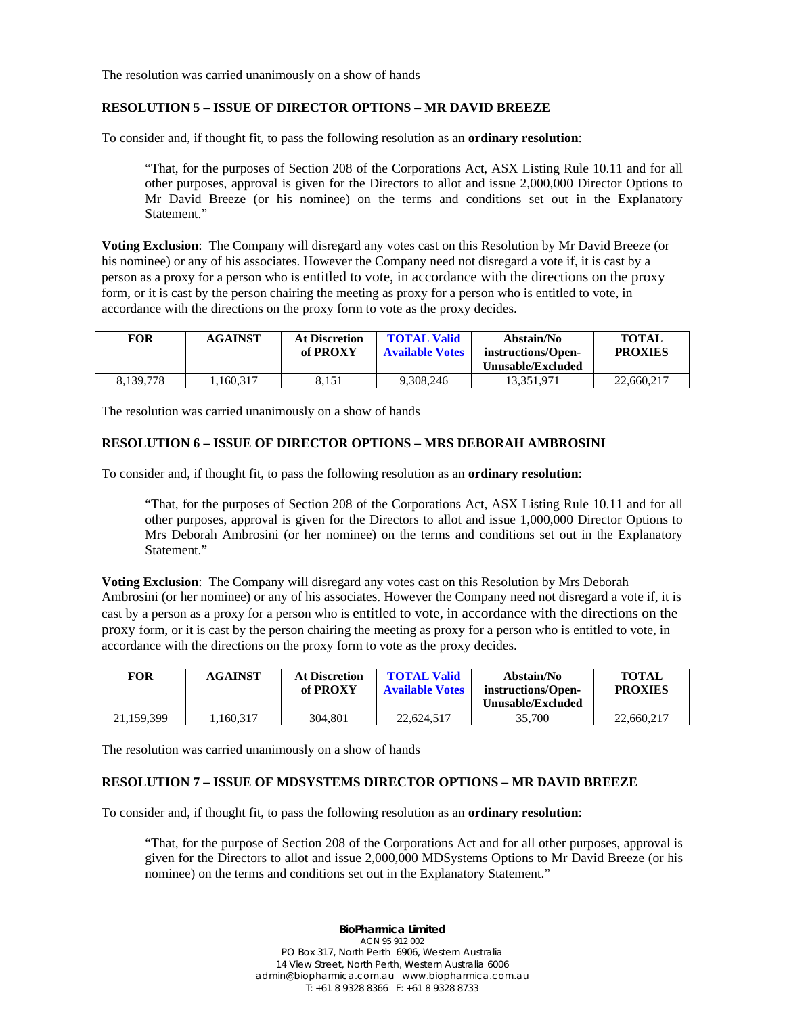The resolution was carried unanimously on a show of hands

### **RESOLUTION 5 – ISSUE OF DIRECTOR OPTIONS – MR DAVID BREEZE**

To consider and, if thought fit, to pass the following resolution as an **ordinary resolution**:

"That, for the purposes of Section 208 of the Corporations Act, ASX Listing Rule 10.11 and for all other purposes, approval is given for the Directors to allot and issue 2,000,000 Director Options to Mr David Breeze (or his nominee) on the terms and conditions set out in the Explanatory Statement."

**Voting Exclusion**: The Company will disregard any votes cast on this Resolution by Mr David Breeze (or his nominee) or any of his associates. However the Company need not disregard a vote if, it is cast by a person as a proxy for a person who is entitled to vote, in accordance with the directions on the proxy form, or it is cast by the person chairing the meeting as proxy for a person who is entitled to vote, in accordance with the directions on the proxy form to vote as the proxy decides.

| FOR       | <b>AGAINST</b> | <b>At Discretion</b><br>of PROXY | <b>TOTAL Valid</b><br><b>Available Votes</b> | Abstain/No<br>instructions/Open-<br>Unusable/Excluded | <b>TOTAL</b><br><b>PROXIES</b> |
|-----------|----------------|----------------------------------|----------------------------------------------|-------------------------------------------------------|--------------------------------|
| 8.139.778 | .160.317       | 8.151                            | 9.308.246                                    | 13.351.971                                            | 22,660,217                     |

The resolution was carried unanimously on a show of hands

## **RESOLUTION 6 – ISSUE OF DIRECTOR OPTIONS – MRS DEBORAH AMBROSINI**

To consider and, if thought fit, to pass the following resolution as an **ordinary resolution**:

"That, for the purposes of Section 208 of the Corporations Act, ASX Listing Rule 10.11 and for all other purposes, approval is given for the Directors to allot and issue 1,000,000 Director Options to Mrs Deborah Ambrosini (or her nominee) on the terms and conditions set out in the Explanatory Statement."

**Voting Exclusion**: The Company will disregard any votes cast on this Resolution by Mrs Deborah Ambrosini (or her nominee) or any of his associates. However the Company need not disregard a vote if, it is cast by a person as a proxy for a person who is entitled to vote, in accordance with the directions on the proxy form, or it is cast by the person chairing the meeting as proxy for a person who is entitled to vote, in accordance with the directions on the proxy form to vote as the proxy decides.

| <b>FOR</b> | <b>AGAINST</b> | <b>At Discretion</b><br>of PROXY | <b>TOTAL Valid</b><br><b>Available Votes</b> | Abstain/No<br>instructions/Open-<br>Unusable/Excluded | <b>TOTAL</b><br><b>PROXIES</b> |
|------------|----------------|----------------------------------|----------------------------------------------|-------------------------------------------------------|--------------------------------|
| 21.159.399 | .160,317       | 304.801                          | 22,624,517                                   | 35.700                                                | 22,660,217                     |

The resolution was carried unanimously on a show of hands

### **RESOLUTION 7 – ISSUE OF MDSYSTEMS DIRECTOR OPTIONS – MR DAVID BREEZE**

To consider and, if thought fit, to pass the following resolution as an **ordinary resolution**:

"That, for the purpose of Section 208 of the Corporations Act and for all other purposes, approval is given for the Directors to allot and issue 2,000,000 MDSystems Options to Mr David Breeze (or his nominee) on the terms and conditions set out in the Explanatory Statement."

> **BioPharmica Limited** ACN 95 912 002 PO Box 317, North Perth 6906, Western Australia 14 View Street, North Perth, Western Australia 6006 admin@biopharmica.com.au www.biopharmica.com.au T: +61 8 9328 8366 F: +61 8 9328 8733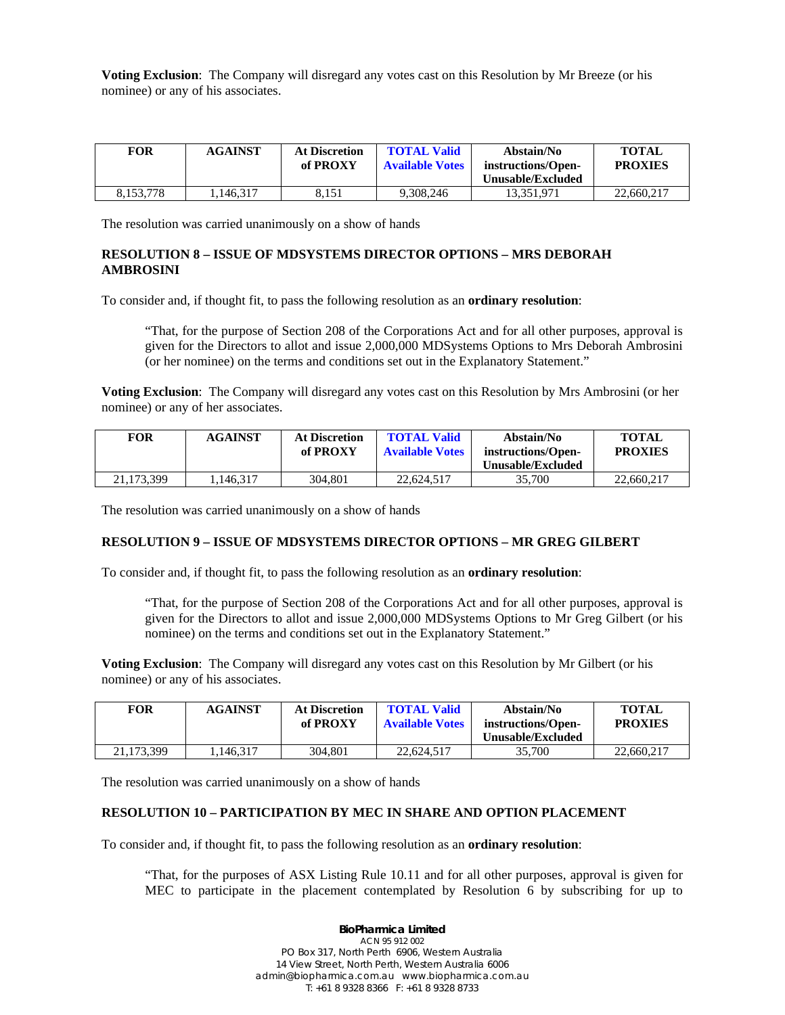**Voting Exclusion**: The Company will disregard any votes cast on this Resolution by Mr Breeze (or his nominee) or any of his associates.

| <b>FOR</b> | <b>AGAINST</b> | <b>At Discretion</b><br>of PROXY | <b>TOTAL Valid</b><br><b>Available Votes</b> | Abstain/No<br>instructions/Open-<br>Unusable/Excluded | <b>TOTAL</b><br><b>PROXIES</b> |
|------------|----------------|----------------------------------|----------------------------------------------|-------------------------------------------------------|--------------------------------|
| 8.153.778  | 1.146.317      | 8.151                            | 9.308.246                                    | 13.351.971                                            | 22,660,217                     |

The resolution was carried unanimously on a show of hands

#### **RESOLUTION 8 – ISSUE OF MDSYSTEMS DIRECTOR OPTIONS – MRS DEBORAH AMBROSINI**

To consider and, if thought fit, to pass the following resolution as an **ordinary resolution**:

"That, for the purpose of Section 208 of the Corporations Act and for all other purposes, approval is given for the Directors to allot and issue 2,000,000 MDSystems Options to Mrs Deborah Ambrosini (or her nominee) on the terms and conditions set out in the Explanatory Statement."

**Voting Exclusion**: The Company will disregard any votes cast on this Resolution by Mrs Ambrosini (or her nominee) or any of her associates.

| FOR        | <b>AGAINST</b> | <b>At Discretion</b><br>of PROXY | <b>TOTAL Valid</b><br><b>Available Votes</b> | Abstain/No<br>instructions/Open-<br>Unusable/Excluded | <b>TOTAL</b><br><b>PROXIES</b> |
|------------|----------------|----------------------------------|----------------------------------------------|-------------------------------------------------------|--------------------------------|
| 21.173.399 | .146.317       | 304.801                          | 22,624,517                                   | 35,700                                                | 22,660,217                     |

The resolution was carried unanimously on a show of hands

#### **RESOLUTION 9 – ISSUE OF MDSYSTEMS DIRECTOR OPTIONS – MR GREG GILBERT**

To consider and, if thought fit, to pass the following resolution as an **ordinary resolution**:

"That, for the purpose of Section 208 of the Corporations Act and for all other purposes, approval is given for the Directors to allot and issue 2,000,000 MDSystems Options to Mr Greg Gilbert (or his nominee) on the terms and conditions set out in the Explanatory Statement."

**Voting Exclusion**: The Company will disregard any votes cast on this Resolution by Mr Gilbert (or his nominee) or any of his associates.

| <b>FOR</b> | <b>AGAINST</b> | <b>At Discretion</b><br>of PROXY | <b>TOTAL Valid</b><br><b>Available Votes</b> | Abstain/No<br>instructions/Open-<br><b>Unusable/Excluded</b> | <b>TOTAL</b><br><b>PROXIES</b> |
|------------|----------------|----------------------------------|----------------------------------------------|--------------------------------------------------------------|--------------------------------|
| 21.173.399 | .146.317       | 304.801                          | 22,624,517                                   | 35,700                                                       | 22,660,217                     |

The resolution was carried unanimously on a show of hands

#### **RESOLUTION 10 – PARTICIPATION BY MEC IN SHARE AND OPTION PLACEMENT**

To consider and, if thought fit, to pass the following resolution as an **ordinary resolution**:

"That, for the purposes of ASX Listing Rule 10.11 and for all other purposes, approval is given for MEC to participate in the placement contemplated by Resolution 6 by subscribing for up to

> **BioPharmica Limited** ACN 95 912 002 PO Box 317, North Perth 6906, Western Australia 14 View Street, North Perth, Western Australia 6006 admin@biopharmica.com.au www.biopharmica.com.au T: +61 8 9328 8366 F: +61 8 9328 8733